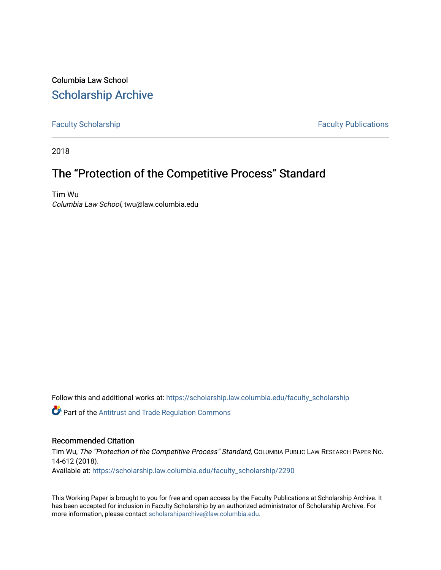# Columbia Law School [Scholarship Archive](https://scholarship.law.columbia.edu/)

[Faculty Scholarship](https://scholarship.law.columbia.edu/faculty_scholarship) **Faculty Scholarship Faculty Publications** 

2018

# The "Protection of the Competitive Process" Standard

Tim Wu Columbia Law School, twu@law.columbia.edu

Follow this and additional works at: [https://scholarship.law.columbia.edu/faculty\\_scholarship](https://scholarship.law.columbia.edu/faculty_scholarship?utm_source=scholarship.law.columbia.edu%2Ffaculty_scholarship%2F2290&utm_medium=PDF&utm_campaign=PDFCoverPages)

**C** Part of the Antitrust and Trade Regulation Commons

## Recommended Citation

Tim Wu, The "Protection of the Competitive Process" Standard, COLUMBIA PUBLIC LAW RESEARCH PAPER NO. 14-612 (2018). Available at: [https://scholarship.law.columbia.edu/faculty\\_scholarship/2290](https://scholarship.law.columbia.edu/faculty_scholarship/2290?utm_source=scholarship.law.columbia.edu%2Ffaculty_scholarship%2F2290&utm_medium=PDF&utm_campaign=PDFCoverPages)

This Working Paper is brought to you for free and open access by the Faculty Publications at Scholarship Archive. It has been accepted for inclusion in Faculty Scholarship by an authorized administrator of Scholarship Archive. For more information, please contact [scholarshiparchive@law.columbia.edu.](mailto:scholarshiparchive@law.columbia.edu)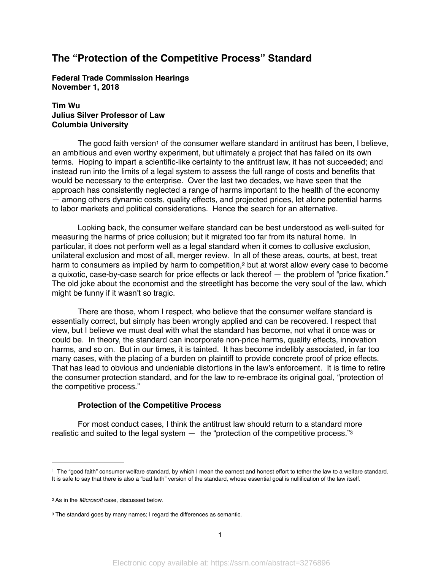# **The "Protection of the Competitive Process" Standard**

**Federal Trade Commission Hearings November 1, 2018**

# **Tim Wu Julius Silver Professor of Law Columbia University**

<span id="page-1-3"></span>The good faith version<sup>1</sup> of the consumer welfare standard in antitrust has been, I believe, an ambitious and even worthy experiment, but ultimately a project that has failed on its own terms. Hoping to impart a scientific-like certainty to the antitrust law, it has not succeeded; and instead run into the limits of a legal system to assess the full range of costs and benefits that would be necessary to the enterprise. Over the last two decades, we have seen that the approach has consistently neglected a range of harms important to the health of the economy — among others dynamic costs, quality effects, and projected prices, let alone potential harms to labor markets and political considerations. Hence the search for an alternative.

<span id="page-1-4"></span>Looking back, the consumer welfare standard can be best understood as well-suited for measuring the harms of price collusion; but it migrated too far from its natural home. In particular, it does not perform well as a legal standard when it comes to collusive exclusion, unilateral exclusion and most of all, merger review. In all of these areas, courts, at best, treat harm to consumers as implied by harm to competition,<sup>2</sup> but at worst allow every case to become a quixotic, case-by-case search for price effects or lack thereof — the problem of "price fixation." The old joke about the economist and the streetlight has become the very soul of the law, which might be funny if it wasn't so tragic.

There are those, whom I respect, who believe that the consumer welfare standard is essentially correct, but simply has been wrongly applied and can be recovered. I respect that view, but I believe we must deal with what the standard has become, not what it once was or could be. In theory, the standard can incorporate non-price harms, quality effects, innovation harms, and so on. But in our times, it is tainted. It has become indelibly associated, in far too many cases, with the placing of a burden on plaintiff to provide concrete proof of price effects. That has lead to obvious and undeniable distortions in the law's enforcement. It is time to retire the consumer protection standard, and for the law to re-embrace its original goal, "protection of the competitive process."

#### <span id="page-1-5"></span>**Protection of the Competitive Process**

For most conduct cases, I think the antitrust law should return to a standard more realistic and suited to the legal system  $-$  the "protection of the competitive process." $3$ 

<span id="page-1-0"></span><sup>&</sup>lt;sup>1</sup>The "good faith" consumer welfare standard, by which I mean the earnest and honest effort to tether the law to a welfare standard. It is safe to say that there is also a "bad faith" version of the standard, whose essential goal is nullification of the law itself.

<span id="page-1-1"></span>As in the *Microsoft* case, discussed below. [2](#page-1-4)

<span id="page-1-2"></span><sup>&</sup>lt;sup>[3](#page-1-5)</sup> The standard goes by many names; I regard the differences as semantic.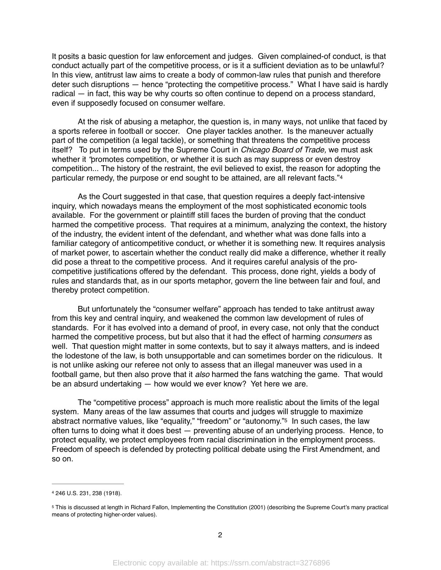It posits a basic question for law enforcement and judges. Given complained-of conduct, is that conduct actually part of the competitive process, or is it a sufficient deviation as to be unlawful? In this view, antitrust law aims to create a body of common-law rules that punish and therefore deter such disruptions — hence "protecting the competitive process." What I have said is hardly radical — in fact, this way be why courts so often continue to depend on a process standard, even if supposedly focused on consumer welfare.

At the risk of abusing a metaphor, the question is, in many ways, not unlike that faced by a sports referee in football or soccer. One player tackles another. Is the maneuver actually part of the competition (a legal tackle), or something that threatens the competitive process itself? To put in terms used by the Supreme Court in *Chicago Board of Trade,* we must ask whether it *"*promotes competition, or whether it is such as may suppress or even destroy competition... The history of the restraint, the evil believed to exist, the reason for adopting the particular remedy, the purpose or end sought to be attained, are all relevant facts."[4](#page-2-0)

<span id="page-2-2"></span>As the Court suggested in that case, that question requires a deeply fact-intensive inquiry, which nowadays means the employment of the most sophisticated economic tools available. For the government or plaintiff still faces the burden of proving that the conduct harmed the competitive process. That requires at a minimum, analyzing the context, the history of the industry, the evident intent of the defendant, and whether what was done falls into a familiar category of anticompetitive conduct, or whether it is something new. It requires analysis of market power, to ascertain whether the conduct really did make a difference, whether it really did pose a threat to the competitive process. And it requires careful analysis of the procompetitive justifications offered by the defendant. This process, done right, yields a body of rules and standards that, as in our sports metaphor, govern the line between fair and foul, and thereby protect competition.

 But unfortunately the "consumer welfare" approach has tended to take antitrust away from this key and central inquiry, and weakened the common law development of rules of standards. For it has evolved into a demand of proof, in every case, not only that the conduct harmed the competitive process, but but also that it had the effect of harming *consumers* as well.That question might matter in some contexts, but to say it always matters, and is indeed the lodestone of the law, is both unsupportable and can sometimes border on the ridiculous. It is not unlike asking our referee not only to assess that an illegal maneuver was used in a football game, but then also prove that it *also* harmed the fans watching the game. That would be an absurd undertaking — how would we ever know? Yet here we are.

<span id="page-2-3"></span>The "competitive process" approach is much more realistic about the limits of the legal system. Many areas of the law assumes that courts and judges will struggle to maximize abstract normative values, like "equality," "freedom" or "autonomy.["5](#page-2-1) In such cases, the law often turns to doing what it does best — preventing abuse of an underlying process. Hence, to protect equality, we protect employees from racial discrimination in the employment process. Freedom of speech is defended by protecting political debate using the First Amendment, and so on.

<span id="page-2-0"></span> <sup>246</sup> U.S. 231, 238 (1918). [4](#page-2-2)

<span id="page-2-1"></span><sup>&</sup>lt;sup>[5](#page-2-3)</sup> This is discussed at length in Richard Fallon, Implementing the Constitution (2001) (describing the Supreme Court's many practical means of protecting higher-order values).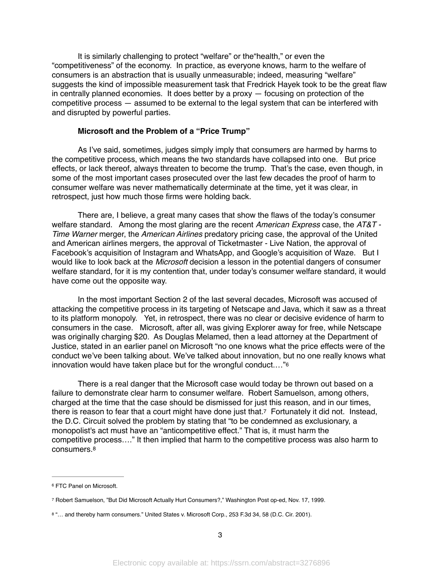It is similarly challenging to protect "welfare" or the"health," or even the "competitiveness" of the economy. In practice, as everyone knows, harm to the welfare of consumers is an abstraction that is usually unmeasurable; indeed, measuring "welfare" suggests the kind of impossible measurement task that Fredrick Hayek took to be the great flaw in centrally planned economies. It does better by a proxy — focusing on protection of the competitive process — assumed to be external to the legal system that can be interfered with and disrupted by powerful parties.

### **Microsoft and the Problem of a "Price Trump"**

As I've said, sometimes, judges simply imply that consumers are harmed by harms to the competitive process, which means the two standards have collapsed into one. But price effects, or lack thereof, always threaten to become the trump. That's the case, even though, in some of the most important cases prosecuted over the last few decades the proof of harm to consumer welfare was never mathematically determinate at the time, yet it was clear, in retrospect, just how much those firms were holding back.

There are, I believe, a great many cases that show the flaws of the today's consumer welfare standard. Among the most glaring are the recent *American Express* case, the *AT&T - Time Warner* merger, the *American Airlines* predatory pricing case, the approval of the United and American airlines mergers, the approval of Ticketmaster - Live Nation, the approval of Facebook's acquisition of Instagram and WhatsApp, and Google's acquisition of Waze. But I would like to look back at the *Microsoft* decision a lesson in the potential dangers of consumer welfare standard, for it is my contention that, under today's consumer welfare standard, it would have come out the opposite way.

 In the most important Section 2 of the last several decades, Microsoft was accused of attacking the competitive process in its targeting of Netscape and Java, which it saw as a threat to its platform monopoly. Yet, in retrospect, there was no clear or decisive evidence of harm to consumers in the case. Microsoft, after all, was giving Explorer away for free, while Netscape was originally charging \$20. As Douglas Melamed, then a lead attorney at the Department of Justice, stated in an earlier panel on Microsoft "no one knows what the price effects were of the conduct we've been talking about. We've talked about innovation, but no one really knows what innovation would have taken place but for the wrongful conduct.…"[6](#page-3-0) 

<span id="page-3-4"></span><span id="page-3-3"></span>There is a real danger that the Microsoft case would today be thrown out based on a failure to demonstrate clear harm to consumer welfare. Robert Samuelson, among others, charged at the time that the case should be dismissed for just this reason, and in our times, there is reason to fear that a court might have done just that[.7](#page-3-1) Fortunately it did not. Instead, the D.C. Circuit solved the problem by stating that "to be condemned as exclusionary, a monopolist's act must have an "anticompetitive effect." That is, it must harm the competitive process…." It then implied that harm to the competitive process was also harm to consumers.<sup>[8](#page-3-2)</sup>

<span id="page-3-5"></span><span id="page-3-0"></span><sup>&</sup>lt;sup>[6](#page-3-3)</sup> FTC Panel on Microsoft.

<span id="page-3-1"></span><sup>&</sup>lt;sup>[7](#page-3-4)</sup> Robert Samuelson, "But Did Microsoft Actually Hurt Consumers?," Washington Post op-ed, Nov. 17, 1999.

<span id="page-3-2"></span>[<sup>8</sup>](#page-3-5) "... and thereby harm consumers." United States v. Microsoft Corp., 253 F.3d 34, 58 (D.C. Cir. 2001).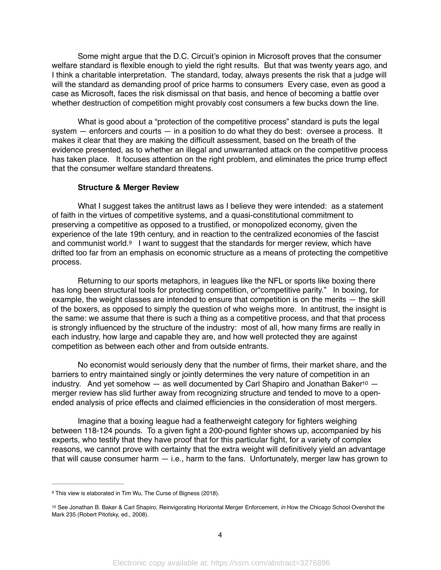Some might argue that the D.C. Circuit's opinion in Microsoft proves that the consumer welfare standard is flexible enough to yield the right results. But that was twenty years ago, and I think a charitable interpretation. The standard, today, always presents the risk that a judge will will the standard as demanding proof of price harms to consumers Every case, even as good a case as Microsoft, faces the risk dismissal on that basis, and hence of becoming a battle over whether destruction of competition might provably cost consumers a few bucks down the line.

What is good about a "protection of the competitive process" standard is puts the legal system — enforcers and courts — in a position to do what they do best: oversee a process. It makes it clear that they are making the difficult assessment, based on the breath of the evidence presented, as to whether an illegal and unwarranted attack on the competitive process has taken place. It focuses attention on the right problem, and eliminates the price trump effect that the consumer welfare standard threatens.

## <span id="page-4-2"></span>**Structure & Merger Review**

What I suggest takes the antitrust laws as I believe they were intended: as a statement of faith in the virtues of competitive systems, and a quasi-constitutional commitment to preserving a competitive as opposed to a trustified, or monopolized economy, given the experience of the late 19th century, and in reaction to the centralized economies of the fascist and communist world.[9](#page-4-0) I want to suggest that the standards for merger review, which have drifted too far from an emphasis on economic structure as a means of protecting the competitive process.

Returning to our sports metaphors, in leagues like the NFL or sports like boxing there has long been structural tools for protecting competition, or competitive parity." In boxing, for example, the weight classes are intended to ensure that competition is on the merits — the skill of the boxers, as opposed to simply the question of who weighs more. In antitrust, the insight is the same: we assume that there is such a thing as a competitive process, and that that process is strongly influenced by the structure of the industry: most of all, how many firms are really in each industry, how large and capable they are, and how well protected they are against competition as between each other and from outside entrants.

<span id="page-4-3"></span>No economist would seriously deny that the number of firms, their market share, and the barriers to entry maintained singly or jointly determines the very nature of competition in an industry. And yet somehow  $-$  as well documented by Carl Shapiro and Jonathan Baker<sup>10</sup>  $$ merger review has slid further away from recognizing structure and tended to move to a openended analysis of price effects and claimed efficiencies in the consideration of most mergers.

Imagine that a boxing league had a featherweight category for fighters weighing between 118-124 pounds. To a given fight a 200-pound fighter shows up, accompanied by his experts, who testify that they have proof that for this particular fight, for a variety of complex reasons, we cannot prove with certainty that the extra weight will definitively yield an advantage that will cause consumer harm — i.e., harm to the fans. Unfortunately, merger law has grown to

<span id="page-4-0"></span><sup>&</sup>lt;sup>[9](#page-4-2)</sup> This view is elaborated in Tim Wu, The Curse of Bigness (2018).

<span id="page-4-1"></span><sup>&</sup>lt;sup>[10](#page-4-3)</sup> See Jonathan B. Baker & Carl Shapiro, Reinvigorating Horizontal Merger Enforcement, *in* How the Chicago School Overshot the Mark 235 (Robert Pitofsky, ed., 2008).